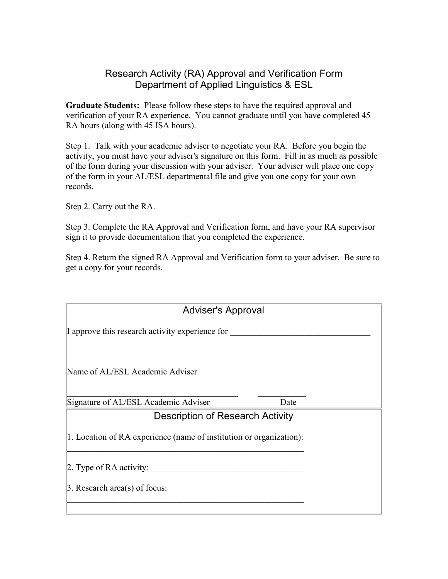## Research Activity (RA) Approval and Verification Form Department of Applied Linguistics & ESL

**Graduate Students:** Please follow these steps to have the required approval and verification of your RA experience. You cannot graduate until you have completed 45 RA hours (along with 45 ISA hours).

Step 1. Talk with your academic adviser to negotiate your RA. Before you begin the activity, you must have your adviser's signature on this form. Fill in as much as possible of the form during your discussion with your adviser. Your adviser will place one copy of the form in your AL/ESL departmental file and give you one copy for your own records.

Step 2. Carry out the RA.

Step 3. Complete the RA Approval and Verification form, and have your RA supervisor sign it to provide documentation that you completed the experience.

Step 4. Return the signed RA Approval and Verification form to your adviser. Be sure to get a copy for your records.

| <b>Adviser's Approval</b>                                           |  |  |  |
|---------------------------------------------------------------------|--|--|--|
| I approve this research activity experience for                     |  |  |  |
| Name of AL/ESL Academic Adviser                                     |  |  |  |
| Signature of AL/ESL Academic Adviser<br>Date                        |  |  |  |
| <b>Description of Research Activity</b>                             |  |  |  |
| 1. Location of RA experience (name of institution or organization): |  |  |  |
| 2. Type of $RA$ activity:                                           |  |  |  |
| $\beta$ . Research area(s) of focus:                                |  |  |  |
|                                                                     |  |  |  |